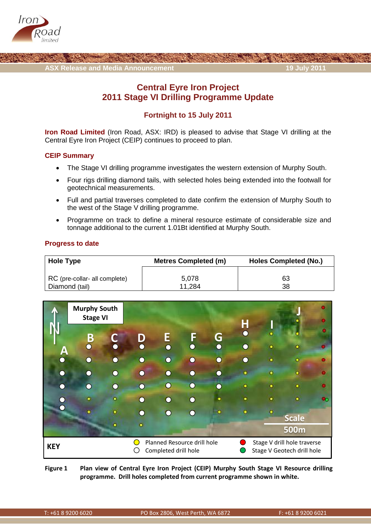



# **Central Eyre Iron Project 2011 Stage VI Drilling Programme Update**

## **Fortnight to 15 July 2011**

**Iron Road Limited** (Iron Road, ASX: IRD) is pleased to advise that Stage VI drilling at the Central Eyre Iron Project (CEIP) continues to proceed to plan.

## **CEIP Summary**

- The Stage VI drilling programme investigates the western extension of Murphy South.
- Four rigs drilling diamond tails, with selected holes being extended into the footwall for geotechnical measurements.
- Full and partial traverses completed to date confirm the extension of Murphy South to the west of the Stage V drilling programme.
- Programme on track to define a mineral resource estimate of considerable size and tonnage additional to the current 1.01Bt identified at Murphy South.

### **Progress to date**

| <b>Hole Type</b>              | <b>Metres Completed (m)</b> | <b>Holes Completed (No.)</b> |  |  |  |
|-------------------------------|-----------------------------|------------------------------|--|--|--|
| RC (pre-collar- all complete) | 5,078                       | 63                           |  |  |  |
| Diamond (tail)                | 11.284                      | 38                           |  |  |  |

|            | <b>Murphy South</b><br><b>Stage VI</b>                                                                           |                        |     |        |        |                                                 |                 |   |              |  |
|------------|------------------------------------------------------------------------------------------------------------------|------------------------|-----|--------|--------|-------------------------------------------------|-----------------|---|--------------|--|
|            | $\boldsymbol{\mathsf{B}}$                                                                                        |                        | D   | E      | F      | G                                               | Н<br>$\bigcirc$ |   |              |  |
| A          |                                                                                                                  | $\blacktriangledown$ , |     | ∩      | ◠      | $\left( \begin{array}{c} 1 \end{array} \right)$ | ←⊧              | ٠ |              |  |
| $\bigcap$  | O                                                                                                                | $\bigcap$              | ( ) | Ω      | ∩      | $\left( \begin{array}{c} \end{array} \right)$   | ◯               | ٠ | ۰            |  |
| $\bigcap$  |                                                                                                                  | ∩                      | ( ) | Ω,     | ∩      |                                                 | ٠               | ٠ | ۰            |  |
| $\bigcap$  |                                                                                                                  | $\cap$                 |     | $\cap$ | $\cap$ |                                                 | ۰               |   | ٠            |  |
| $\cap$     |                                                                                                                  | ö                      |     | ∩      | ∩      |                                                 | ٠               | ٠ | ö            |  |
| ◠          |                                                                                                                  |                        |     | . .    |        |                                                 |                 |   | <b>Scale</b> |  |
|            |                                                                                                                  | ٠                      | ۰   |        |        |                                                 |                 |   | <b>500m</b>  |  |
| <b>KEY</b> | Planned Resource drill hole<br>Stage V drill hole traverse<br>Stage V Geotech drill hole<br>Completed drill hole |                        |     |        |        |                                                 |                 |   |              |  |

**Figure 1 Plan view of Central Eyre Iron Project (CEIP) Murphy South Stage VI Resource drilling programme. Drill holes completed from current programme shown in white.**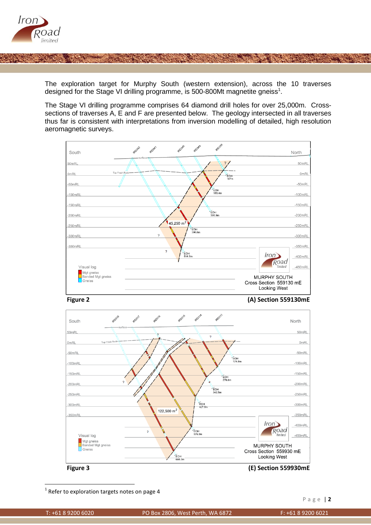

The exploration target for Murphy South (western extension), across the 10 traverses designed for the Stage VI drilling programme, is 500-800Mt magnetite gneiss<sup>1</sup>.

The Stage VI drilling programme comprises 64 diamond drill holes for over 25,000m. Crosssections of traverses A, E and F are presented below. The geology intersected in all traverses thus far is consistent with interpretations from inversion modelling of detailed, high resolution aeromagnetic surveys.





#### **Figure 2 (A) Section 559130mE**



 $1$  Refer to exploration targets notes on page 4

**.**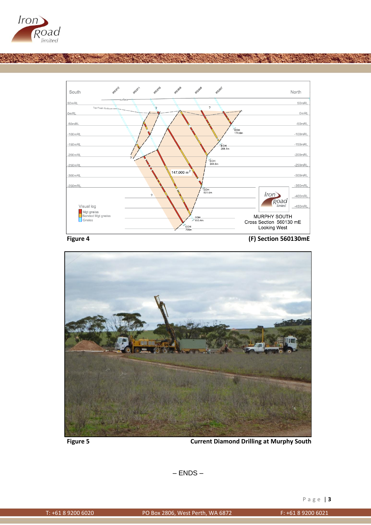

![](_page_2_Figure_1.jpeg)

**Figure 4 (F) Section 560130mE**

![](_page_2_Picture_4.jpeg)

**Figure 5 Current Diamond Drilling at Murphy South**

– ENDS –